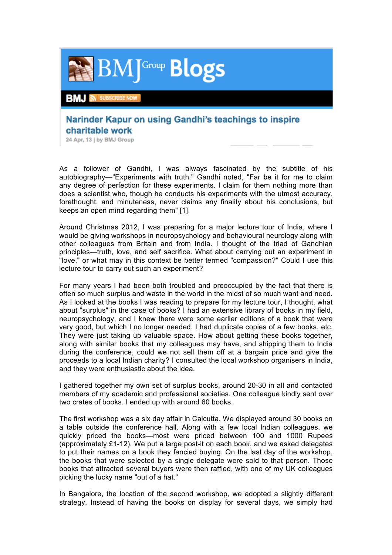

## Narinder Kapur on using Gandhi's teachings to inspire charitable work

24 Apr, 13 | by BMJ Group

As a follower of Gandhi, I was always fascinated by the subtitle of his autobiography—"Experiments with truth." Gandhi noted, "Far be it for me to claim any degree of perfection for these experiments. I claim for them nothing more than does a scientist who, though he conducts his experiments with the utmost accuracy, forethought, and minuteness, never claims any finality about his conclusions, but keeps an open mind regarding them" [1].

Around Christmas 2012, I was preparing for a major lecture tour of India, where I would be giving workshops in neuropsychology and behavioural neurology along with other colleagues from Britain and from India. I thought of the triad of Gandhian principles—truth, love, and self sacrifice. What about carrying out an experiment in "love," or what may in this context be better termed "compassion?" Could I use this lecture tour to carry out such an experiment?

For many years I had been both troubled and preoccupied by the fact that there is often so much surplus and waste in the world in the midst of so much want and need. As I looked at the books I was reading to prepare for my lecture tour, I thought, what about "surplus" in the case of books? I had an extensive library of books in my field, neuropsychology, and I knew there were some earlier editions of a book that were very good, but which I no longer needed. I had duplicate copies of a few books, etc. They were just taking up valuable space. How about getting these books together, along with similar books that my colleagues may have, and shipping them to India during the conference, could we not sell them off at a bargain price and give the proceeds to a local Indian charity? I consulted the local workshop organisers in India, and they were enthusiastic about the idea.

I gathered together my own set of surplus books, around 20-30 in all and contacted members of my academic and professional societies. One colleague kindly sent over two crates of books. I ended up with around 60 books.

The first workshop was a six day affair in Calcutta. We displayed around 30 books on a table outside the conference hall. Along with a few local Indian colleagues, we quickly priced the books—most were priced between 100 and 1000 Rupees (approximately £1-12). We put a large post-it on each book, and we asked delegates to put their names on a book they fancied buying. On the last day of the workshop, the books that were selected by a single delegate were sold to that person. Those books that attracted several buyers were then raffled, with one of my UK colleagues picking the lucky name "out of a hat."

In Bangalore, the location of the second workshop, we adopted a slightly different strategy. Instead of having the books on display for several days, we simply had